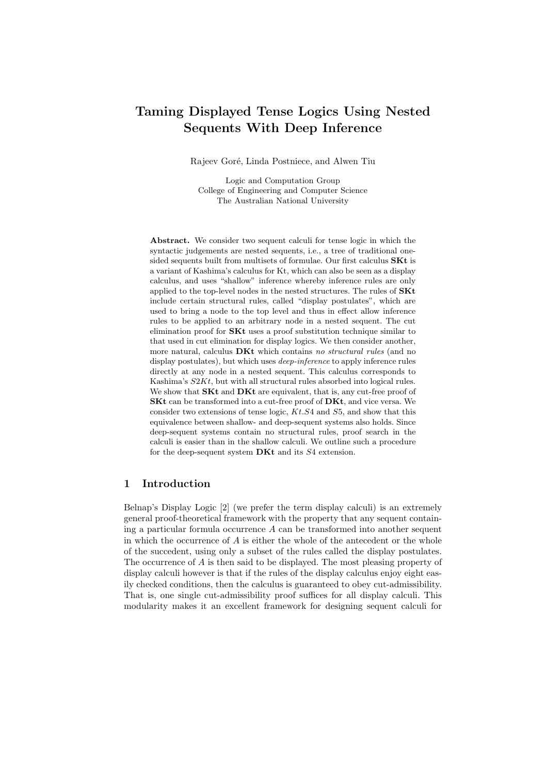# Taming Displayed Tense Logics Using Nested Sequents With Deep Inference

Rajeev Goré, Linda Postniece, and Alwen Tiu

Logic and Computation Group College of Engineering and Computer Science The Australian National University

Abstract. We consider two sequent calculi for tense logic in which the syntactic judgements are nested sequents, i.e., a tree of traditional onesided sequents built from multisets of formulae. Our first calculus **SKt** is a variant of Kashima's calculus for Kt, which can also be seen as a display calculus, and uses "shallow" inference whereby inference rules are only applied to the top-level nodes in the nested structures. The rules of SKt include certain structural rules, called "display postulates", which are used to bring a node to the top level and thus in effect allow inference rules to be applied to an arbitrary node in a nested sequent. The cut elimination proof for SKt uses a proof substitution technique similar to that used in cut elimination for display logics. We then consider another, more natural, calculus **DKt** which contains no structural rules (and no display postulates), but which uses *deep-inference* to apply inference rules directly at any node in a nested sequent. This calculus corresponds to Kashima's S2Kt, but with all structural rules absorbed into logical rules. We show that **SKt** and **DKt** are equivalent, that is, any cut-free proof of SKt can be transformed into a cut-free proof of DKt, and vice versa. We consider two extensions of tense logic,  $Kt.S4$  and  $S5$ , and show that this equivalence between shallow- and deep-sequent systems also holds. Since deep-sequent systems contain no structural rules, proof search in the calculi is easier than in the shallow calculi. We outline such a procedure for the deep-sequent system DKt and its S4 extension.

### 1 Introduction

Belnap's Display Logic [2] (we prefer the term display calculi) is an extremely general proof-theoretical framework with the property that any sequent containing a particular formula occurrence A can be transformed into another sequent in which the occurrence of  $A$  is either the whole of the antecedent or the whole of the succedent, using only a subset of the rules called the display postulates. The occurrence of A is then said to be displayed. The most pleasing property of display calculi however is that if the rules of the display calculus enjoy eight easily checked conditions, then the calculus is guaranteed to obey cut-admissibility. That is, one single cut-admissibility proof suffices for all display calculi. This modularity makes it an excellent framework for designing sequent calculi for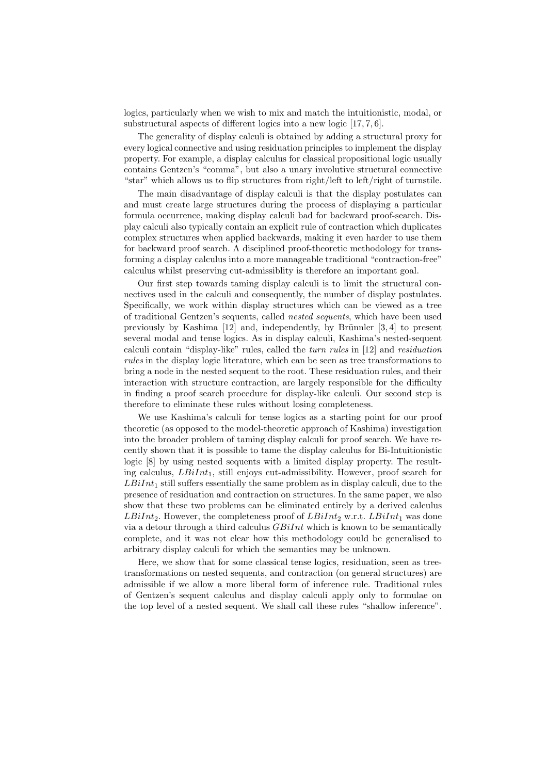logics, particularly when we wish to mix and match the intuitionistic, modal, or substructural aspects of different logics into a new logic [17, 7, 6].

The generality of display calculi is obtained by adding a structural proxy for every logical connective and using residuation principles to implement the display property. For example, a display calculus for classical propositional logic usually contains Gentzen's "comma", but also a unary involutive structural connective "star" which allows us to flip structures from right/left to left/right of turnstile.

The main disadvantage of display calculi is that the display postulates can and must create large structures during the process of displaying a particular formula occurrence, making display calculi bad for backward proof-search. Display calculi also typically contain an explicit rule of contraction which duplicates complex structures when applied backwards, making it even harder to use them for backward proof search. A disciplined proof-theoretic methodology for transforming a display calculus into a more manageable traditional "contraction-free" calculus whilst preserving cut-admissiblity is therefore an important goal.

Our first step towards taming display calculi is to limit the structural connectives used in the calculi and consequently, the number of display postulates. Specifically, we work within display structures which can be viewed as a tree of traditional Gentzen's sequents, called nested sequents, which have been used previously by Kashima  $[12]$  and, independently, by Brünnler  $[3, 4]$  to present several modal and tense logics. As in display calculi, Kashima's nested-sequent calculi contain "display-like" rules, called the turn rules in [12] and residuation rules in the display logic literature, which can be seen as tree transformations to bring a node in the nested sequent to the root. These residuation rules, and their interaction with structure contraction, are largely responsible for the difficulty in finding a proof search procedure for display-like calculi. Our second step is therefore to eliminate these rules without losing completeness.

We use Kashima's calculi for tense logics as a starting point for our proof theoretic (as opposed to the model-theoretic approach of Kashima) investigation into the broader problem of taming display calculi for proof search. We have recently shown that it is possible to tame the display calculus for Bi-Intuitionistic logic [8] by using nested sequents with a limited display property. The resulting calculus,  $LBiInt_1$ , still enjoys cut-admissibility. However, proof search for  $LBiInt_1$  still suffers essentially the same problem as in display calculi, due to the presence of residuation and contraction on structures. In the same paper, we also show that these two problems can be eliminated entirely by a derived calculus  $LBiInt_2$ . However, the completeness proof of  $LBiInt_2$  w.r.t.  $LBiInt_1$  was done via a detour through a third calculus  $GBiInt$  which is known to be semantically complete, and it was not clear how this methodology could be generalised to arbitrary display calculi for which the semantics may be unknown.

Here, we show that for some classical tense logics, residuation, seen as treetransformations on nested sequents, and contraction (on general structures) are admissible if we allow a more liberal form of inference rule. Traditional rules of Gentzen's sequent calculus and display calculi apply only to formulae on the top level of a nested sequent. We shall call these rules "shallow inference".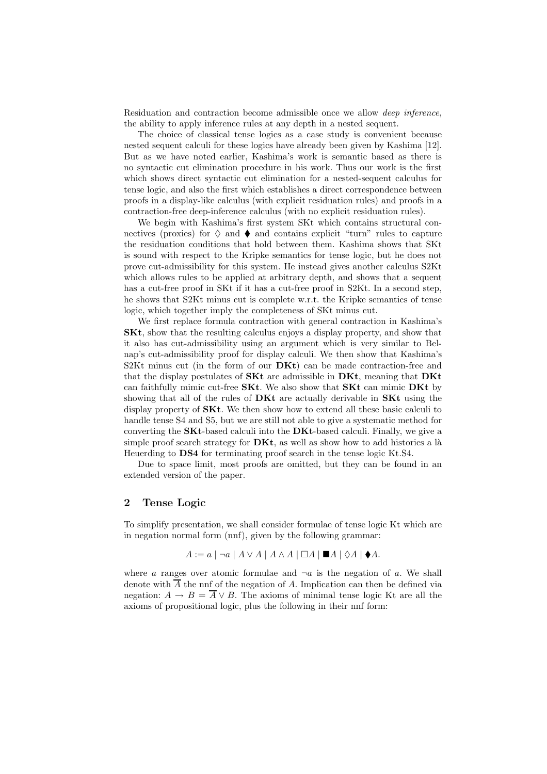Residuation and contraction become admissible once we allow *deep inference*, the ability to apply inference rules at any depth in a nested sequent.

The choice of classical tense logics as a case study is convenient because nested sequent calculi for these logics have already been given by Kashima [12]. But as we have noted earlier, Kashima's work is semantic based as there is no syntactic cut elimination procedure in his work. Thus our work is the first which shows direct syntactic cut elimination for a nested-sequent calculus for tense logic, and also the first which establishes a direct correspondence between proofs in a display-like calculus (with explicit residuation rules) and proofs in a contraction-free deep-inference calculus (with no explicit residuation rules).

We begin with Kashima's first system SKt which contains structural connectives (proxies) for  $\Diamond$  and  $\blacklozenge$  and contains explicit "turn" rules to capture the residuation conditions that hold between them. Kashima shows that SKt is sound with respect to the Kripke semantics for tense logic, but he does not prove cut-admissibility for this system. He instead gives another calculus S2Kt which allows rules to be applied at arbitrary depth, and shows that a sequent has a cut-free proof in SKt if it has a cut-free proof in S2Kt. In a second step, he shows that S2Kt minus cut is complete w.r.t. the Kripke semantics of tense logic, which together imply the completeness of SKt minus cut.

We first replace formula contraction with general contraction in Kashima's SKt, show that the resulting calculus enjoys a display property, and show that it also has cut-admissibility using an argument which is very similar to Belnap's cut-admissibility proof for display calculi. We then show that Kashima's S2Kt minus cut (in the form of our  $\mathbf{D}$ Kt) can be made contraction-free and that the display postulates of  $SKt$  are admissible in  $DKt$ , meaning that  $DKt$ can faithfully mimic cut-free  $S$ Kt. We also show that  $S$ Kt can mimic  $D$ Kt by showing that all of the rules of  $\bf DKt$  are actually derivable in  $\bf SKt$  using the display property of SKt. We then show how to extend all these basic calculi to handle tense S4 and S5, but we are still not able to give a systematic method for converting the SKt-based calculi into the DKt-based calculi. Finally, we give a simple proof search strategy for  $\mathbf{D}$ Kt, as well as show how to add histories a là Heuerding to DS4 for terminating proof search in the tense logic Kt.S4.

Due to space limit, most proofs are omitted, but they can be found in an extended version of the paper.

### 2 Tense Logic

To simplify presentation, we shall consider formulae of tense logic Kt which are in negation normal form (nnf), given by the following grammar:

$$
A := a \mid \neg a \mid A \lor A \mid A \land A \mid \Box A \mid \blacksquare A \mid \Diamond A \mid \blacklozenge A.
$$

where a ranges over atomic formulae and  $\neg a$  is the negation of a. We shall denote with  $\overline{A}$  the nnf of the negation of A. Implication can then be defined via negation:  $A \rightarrow B = \overline{A} \vee B$ . The axioms of minimal tense logic Kt are all the axioms of propositional logic, plus the following in their nnf form: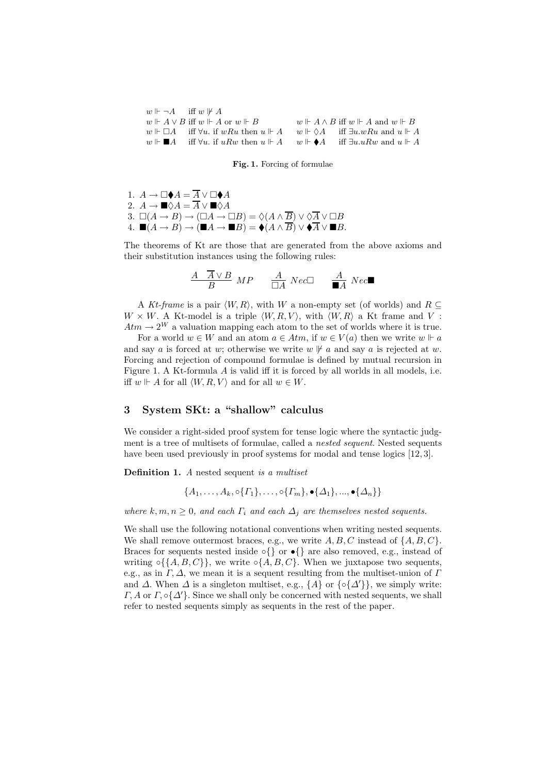| $w \Vdash \neg A$ iff $w \not\Vdash A$                                                                                                 |                                                         |
|----------------------------------------------------------------------------------------------------------------------------------------|---------------------------------------------------------|
| $w \Vdash A \vee B$ iff $w \Vdash A$ or $w \Vdash B$                                                                                   | $w \Vdash A \wedge B$ iff $w \Vdash A$ and $w \Vdash B$ |
| $w \Vdash \Box A$ iff $\forall u$ , if wRu then $u \Vdash A$ $w \Vdash \Diamond A$ iff $\exists u \ldotp wRu$ and $u \Vdash A$         |                                                         |
| $w \Vdash \blacksquare A$ iff $\forall u$ , if uRw then $u \Vdash A$ $w \Vdash \blacklozenge A$ iff $\exists u u R w$ and $u \Vdash A$ |                                                         |

Fig. 1. Forcing of formulae

1.  $A \to \Box \blacklozenge A = \overline{A} \vee \Box \blacklozenge A$ 2.  $A \to \blacksquare \Diamond A = \overline{A} \vee \blacksquare \Diamond A$ 3.  $\square(A \to B) \to (\square A \to \square B) = \Diamond(A \wedge \overline{B}) \vee \Diamond \overline{A} \vee \square B$ 4.  $\blacksquare(A \to B) \to (\blacksquare A \to \blacksquare B) = \blacklozenge (A \land \overline{B}) \lor \blacklozenge \overline{A} \lor \blacksquare B.$ 

The theorems of Kt are those that are generated from the above axioms and their substitution instances using the following rules:

$$
\begin{array}{ccccc}\nA & \overline{A} \vee B & MP & \overline{A} & Nec \square & \overline{A} & Nec \blacksquare \\
\hline\nB & & \square A & Nec \square & \overline{A} & Nec \blacksquare\n\end{array}
$$

A Kt-frame is a pair  $\langle W, R \rangle$ , with W a non-empty set (of worlds) and  $R \subseteq$  $W \times W$ . A Kt-model is a triple  $\langle W, R, V \rangle$ , with  $\langle W, R \rangle$  a Kt frame and V :  $Atm \rightarrow 2^W$  a valuation mapping each atom to the set of worlds where it is true.

For a world  $w \in W$  and an atom  $a \in Atm$ , if  $w \in V(a)$  then we write  $w \Vdash a$ and say a is forced at w; otherwise we write  $w \not\vdash a$  and say a is rejected at w. Forcing and rejection of compound formulae is defined by mutual recursion in Figure 1. A Kt-formula  $\tilde{A}$  is valid iff it is forced by all worlds in all models, i.e. iff  $w \Vdash A$  for all  $\langle W, R, V \rangle$  and for all  $w \in W$ .

### 3 System SKt: a "shallow" calculus

We consider a right-sided proof system for tense logic where the syntactic judgment is a tree of multisets of formulae, called a *nested sequent*. Nested sequents have been used previously in proof systems for modal and tense logics [12, 3].

Definition 1. A nested sequent is a multiset

$$
\{A_1,\ldots,A_k,\circ\{\Gamma_1\},\ldots,\circ\{\Gamma_m\},\bullet\{\Delta_1\},\ldots,\bullet\{\Delta_n\}\}\
$$

where  $k, m, n \geq 0$ , and each  $\Gamma_i$  and each  $\Delta_j$  are themselves nested sequents.

We shall use the following notational conventions when writing nested sequents. We shall remove outermost braces, e.g., we write  $A, B, C$  instead of  $\{A, B, C\}$ . Braces for sequents nested inside  $\circ$ {} or  $\bullet$ {} are also removed, e.g., instead of writing ∘{{ $A, B, C$ }, we write ∘{ $A, B, C$ }. When we juxtapose two sequents, e.g., as in  $\Gamma$ ,  $\Delta$ , we mean it is a sequent resulting from the multiset-union of  $\Gamma$ and  $\Delta$ . When  $\Delta$  is a singleton multiset, e.g.,  $\{A\}$  or  $\{\circ\{\Delta'\}\}\,$ , we simply write:  $\Gamma$ , A or  $\Gamma$ ,  $\circ$ { $\Delta'$ }. Since we shall only be concerned with nested sequents, we shall refer to nested sequents simply as sequents in the rest of the paper.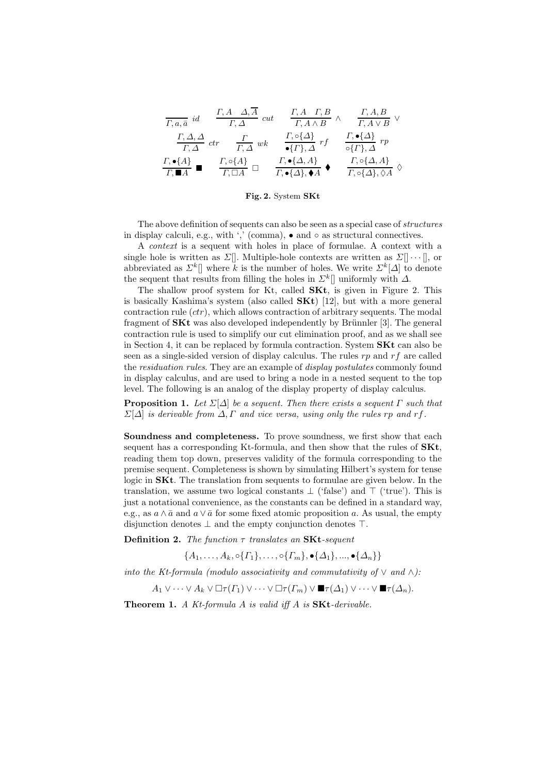$$
\frac{\Gamma, A, \overline{A}}{\Gamma, a, \overline{a}} \text{ id} \quad \frac{\Gamma, A \quad \Delta, \overline{A}}{\Gamma, \Delta} \text{ cut} \quad \frac{\Gamma, A \quad \Gamma, B}{\Gamma, A \land B} \land \quad \frac{\Gamma, A, B}{\Gamma, A \lor B} \lor
$$
\n
$$
\frac{\Gamma, \Delta, \Delta}{\Gamma, \Delta} \text{ ctr} \quad \frac{\Gamma}{\Gamma, \Delta} \text{ wk} \quad \frac{\Gamma, \circ \{\Delta\}}{\bullet \{\Gamma\}, \Delta} \text{ rf} \quad \frac{\Gamma, \bullet \{\Delta\}}{\circ \{\Gamma\}, \Delta} \text{ rp}
$$
\n
$$
\frac{\Gamma, \bullet \{\Delta\}}{\Gamma, \blacksquare A} \blacksquare \quad \frac{\Gamma, \circ \{\Delta, A\}}{\Gamma, \square A} \square \quad \frac{\Gamma, \bullet \{\Delta, A\}}{\Gamma, \bullet \{\Delta\}, \bullet A} \blacklozenge \quad \frac{\Gamma, \circ \{\Delta, A\}}{\Gamma, \circ \{\Delta\}, \Diamond A} \Diamond
$$

Fig. 2. System SKt

The above definition of sequents can also be seen as a special case of structures in display calculi, e.g., with ',' (comma),  $\bullet$  and  $\circ$  as structural connectives.

A context is a sequent with holes in place of formulae. A context with a single hole is written as Σ[]. Multiple-hole contexts are written as Σ[] · · · [], or abbreviated as  $\Sigma^k$ ] where k is the number of holes. We write  $\Sigma^k[\Delta]$  to denote the sequent that results from filling the holes in  $\Sigma^k$ ] uniformly with  $\Delta$ .

The shallow proof system for Kt, called SKt, is given in Figure 2. This is basically Kashima's system (also called  $SKt$ ) [12], but with a more general contraction rule  $(ctr)$ , which allows contraction of arbitrary sequents. The modal fragment of  $SKt$  was also developed independently by Brünnler [3]. The general contraction rule is used to simplify our cut elimination proof, and as we shall see in Section 4, it can be replaced by formula contraction. System SKt can also be seen as a single-sided version of display calculus. The rules  $rp$  and  $rf$  are called the *residuation rules*. They are an example of *display postulates* commonly found in display calculus, and are used to bring a node in a nested sequent to the top level. The following is an analog of the display property of display calculus.

**Proposition 1.** Let  $\Sigma[\Delta]$  be a sequent. Then there exists a sequent  $\Gamma$  such that  $\Sigma[\Delta]$  is derivable from  $\Delta, \Gamma$  and vice versa, using only the rules rp and rf.

Soundness and completeness. To prove soundness, we first show that each sequent has a corresponding Kt-formula, and then show that the rules of  $SKt$ , reading them top down, preserves validity of the formula corresponding to the premise sequent. Completeness is shown by simulating Hilbert's system for tense logic in  $\mathbf{S}$ Kt. The translation from sequents to formulae are given below. In the translation, we assume two logical constants  $\perp$  ('false') and  $\perp$  ('true'). This is just a notational convenience, as the constants can be defined in a standard way, e.g., as  $a \wedge \bar{a}$  and  $a \vee \bar{a}$  for some fixed atomic proposition a. As usual, the empty disjunction denotes ⊥ and the empty conjunction denotes ⊤.

Definition 2. The function  $\tau$  translates an SKt-sequent

 ${A_1, \ldots, A_k, \circ \{\Gamma_1\}, \ldots, \circ \{\Gamma_m\}, \bullet \{\Delta_1\}, \ldots, \bullet \{\Delta_n\}\}$ 

into the Kt-formula (modulo associativity and commutativity of  $\vee$  and  $\wedge$ ):

$$
A_1 \vee \cdots \vee A_k \vee \Box \tau(\Gamma_1) \vee \cdots \vee \Box \tau(\Gamma_m) \vee \blacksquare \tau(\Delta_1) \vee \cdots \vee \blacksquare \tau(\Delta_n).
$$

**Theorem 1.** A Kt-formula A is valid iff A is  $SKt$ -derivable.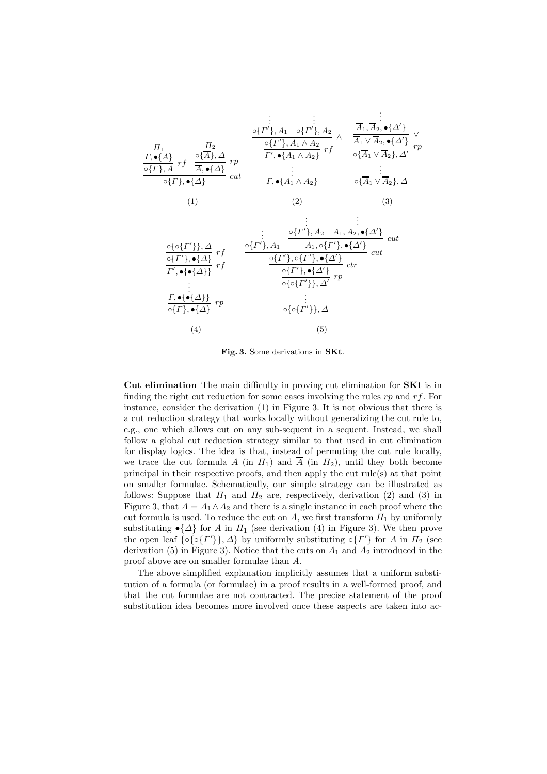$$
\begin{array}{cccc}\n & \vdots & \vdots & \vdots & \vdots \\
\frac{\partial \{T'\}, A_1 \quad \partial \{T'\}, A_2}{\partial \{T\}, A_1 \land A_2} & \wedge & \frac{\overline{A}_1, \overline{A}_2, \bullet \{\Delta'\}}{\overline{A}_1 \lor \overline{A}_2, \bullet \{\Delta'\}} \\
\frac{\partial \{T'\}, A_1 \land A_2}{\partial \{T\}, A_1 \land A_2\}} & r & \frac{\overline{A}_1 \lor \overline{A}_2, \bullet \{\Delta'\}}{\partial \{A_1 \lor \overline{A}_2\}, \Delta'} & r & r \\
\frac{\partial \{T\}, A}{\partial \{T\}, \bullet \{\Delta\}} & r & \vdots & \vdots & \vdots \\
\frac{\partial \{T\}, \bullet \{\Delta\}}{\partial \{T\}, \bullet \{\Delta\}} & cr & r & \bullet \{\overline{A}_1 \land A_2\} & \bullet \{\overline{A}_1 \lor \overline{A}_2\}, \Delta \\
 & & & & (1) & & (2) & (3)\n\end{array}
$$

$$
\frac{\circ {\circ} {\circ} \{r'\}, A_2 \overline{A}_1, \overline{A}_2, \bullet \{\Delta'\}}{\circ \{r'\}, \bullet \{\Delta\}} \text{ cut}
$$
\n
$$
\frac{\circ {\{r'\}, A_2 \overline{A}_1, \overline{A}_2, \bullet \{\Delta'\}}}{r'}
$$
\n
$$
\frac{\circ \{r'\}, \bullet \{\Delta'\}}{r', \bullet \{\bullet \{\Delta\}\}} \text{ rt}
$$
\n
$$
\frac{\circ \{r'\}, \circ \{r'\}, \bullet \{\Delta'\}}{\circ \{\sigma\'} \}, \Delta'}
$$
\n
$$
\vdots
$$
\n
$$
\frac{\Gamma, \bullet \{\bullet \{\Delta\}\}}{\circ \{\Gamma\}, \bullet \{\Delta\}} \text{ rp}
$$
\n
$$
\vdots
$$
\n
$$
\frac{\Gamma, \bullet \{\bullet \{\Delta\}\}}{\circ \{\Gamma\}, \bullet \{\Delta\}} \text{ rp}
$$
\n
$$
\vdots
$$
\n
$$
\circ {\circ} {\circ} {\circ} \{r'\}, \Delta'
$$
\n
$$
\vdots
$$
\n
$$
\circ {\circ} {\circ} {\circ} \{r'\}, \Delta
$$
\n
$$
\tag{4}
$$

.

Fig. 3. Some derivations in SKt.

Cut elimination The main difficulty in proving cut elimination for SKt is in finding the right cut reduction for some cases involving the rules  $rp$  and  $rf$ . For instance, consider the derivation (1) in Figure 3. It is not obvious that there is a cut reduction strategy that works locally without generalizing the cut rule to, e.g., one which allows cut on any sub-sequent in a sequent. Instead, we shall follow a global cut reduction strategy similar to that used in cut elimination for display logics. The idea is that, instead of permuting the cut rule locally, we trace the cut formula A (in  $\Pi_1$ ) and  $\overline{A}$  (in  $\Pi_2$ ), until they both become principal in their respective proofs, and then apply the cut rule(s) at that point on smaller formulae. Schematically, our simple strategy can be illustrated as follows: Suppose that  $\Pi_1$  and  $\Pi_2$  are, respectively, derivation (2) and (3) in Figure 3, that  $A = A_1 \wedge A_2$  and there is a single instance in each proof where the cut formula is used. To reduce the cut on A, we first transform  $\Pi_1$  by uniformly substituting  $\bullet$ { $\Delta$ } for A in  $\Pi$ <sub>1</sub> (see derivation (4) in Figure 3). We then prove the open leaf  $\{ \circ {\sigma} \{ \Gamma' \}, \Delta \}$  by uniformly substituting  $\circ {\Gamma'} \}$  for A in  $\Pi_2$  (see derivation (5) in Figure 3). Notice that the cuts on  $A_1$  and  $A_2$  introduced in the proof above are on smaller formulae than A.

The above simplified explanation implicitly assumes that a uniform substitution of a formula (or formulae) in a proof results in a well-formed proof, and that the cut formulae are not contracted. The precise statement of the proof substitution idea becomes more involved once these aspects are taken into ac-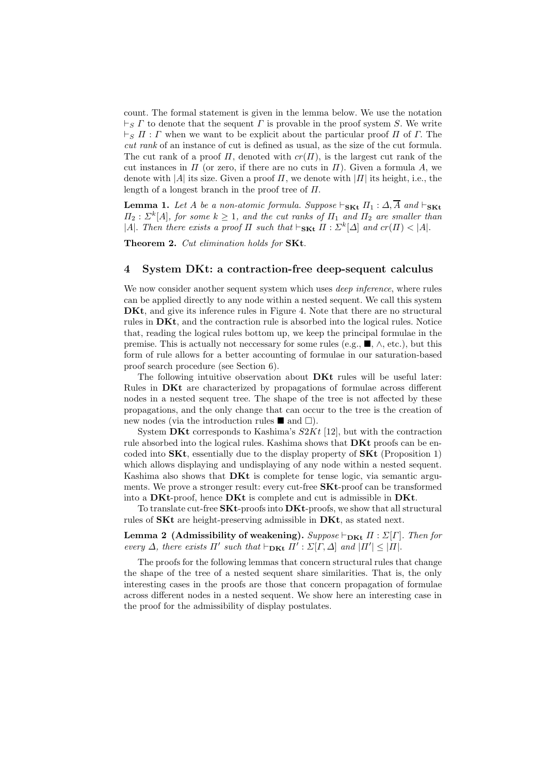count. The formal statement is given in the lemma below. We use the notation  $\vdash_S \Gamma$  to denote that the sequent  $\Gamma$  is provable in the proof system S. We write  $\vdash_S \Pi : \Gamma$  when we want to be explicit about the particular proof  $\Pi$  of  $\Gamma$ . The cut rank of an instance of cut is defined as usual, as the size of the cut formula. The cut rank of a proof  $\Pi$ , denoted with  $cr(\Pi)$ , is the largest cut rank of the cut instances in  $\Pi$  (or zero, if there are no cuts in  $\Pi$ ). Given a formula A, we denote with |A| its size. Given a proof  $\Pi$ , we denote with  $|\Pi|$  its height, i.e., the length of a longest branch in the proof tree of  $\Pi$ .

**Lemma 1.** Let A be a non-atomic formula. Suppose  $\vdash_{\mathbf{SKt}} \Pi_1 : \Delta, \overline{A}$  and  $\vdash_{\mathbf{SKt}}$  $\Pi_2$ :  $\Sigma^k[A]$ , for some  $k \geq 1$ , and the cut ranks of  $\Pi_1$  and  $\Pi_2$  are smaller than |A|. Then there exists a proof  $\Pi$  such that  $\vdash_{\mathbf{SKt}} \Pi : \Sigma^k[\Delta]$  and  $cr(\Pi) < |A|$ .

Theorem 2. Cut elimination holds for SKt.

### 4 System DKt: a contraction-free deep-sequent calculus

We now consider another sequent system which uses *deep inference*, where rules can be applied directly to any node within a nested sequent. We call this system DKt, and give its inference rules in Figure 4. Note that there are no structural rules in DKt, and the contraction rule is absorbed into the logical rules. Notice that, reading the logical rules bottom up, we keep the principal formulae in the premise. This is actually not necessary for some rules (e.g.,  $\blacksquare$ ,  $\wedge$ , etc.), but this form of rule allows for a better accounting of formulae in our saturation-based proof search procedure (see Section 6).

The following intuitive observation about DKt rules will be useful later: Rules in DKt are characterized by propagations of formulae across different nodes in a nested sequent tree. The shape of the tree is not affected by these propagations, and the only change that can occur to the tree is the creation of new nodes (via the introduction rules  $\blacksquare$  and  $\square$ ).

System DKt corresponds to Kashima's  $S2Kt$  [12], but with the contraction rule absorbed into the logical rules. Kashima shows that **DKt** proofs can be encoded into  $SKt$ , essentially due to the display property of  $SKt$  (Proposition 1) which allows displaying and undisplaying of any node within a nested sequent. Kashima also shows that **DKt** is complete for tense logic, via semantic arguments. We prove a stronger result: every cut-free SKt-proof can be transformed into a DKt-proof, hence DKt is complete and cut is admissible in DKt.

To translate cut-free SKt-proofs into DKt-proofs, we show that all structural rules of SKt are height-preserving admissible in DKt, as stated next.

Lemma 2 (Admissibility of weakening). Suppose  $\vdash_{\mathbf{DKt}} \Pi : \Sigma[\Gamma]$ . Then for every  $\Delta$ , there exists  $\Pi'$  such that  $\vdash_{\mathbf{DKt}} \Pi' : \Sigma[\Gamma, \Delta]$  and  $|\Pi'| \leq |\Pi|$ .

The proofs for the following lemmas that concern structural rules that change the shape of the tree of a nested sequent share similarities. That is, the only interesting cases in the proofs are those that concern propagation of formulae across different nodes in a nested sequent. We show here an interesting case in the proof for the admissibility of display postulates.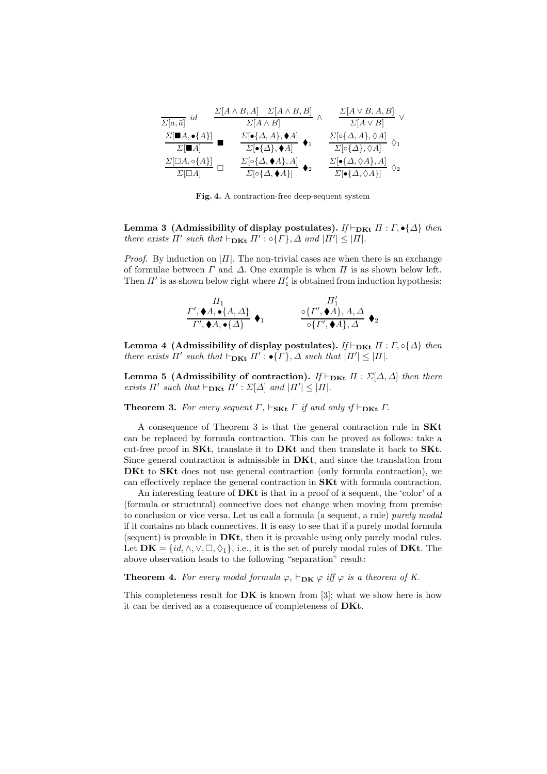$$
\frac{\Sigma[a,\bar{a}]}{\Sigma[a,\bar{a}]} \stackrel{id}{d} = \frac{\Sigma[A \wedge B, A] - \Sigma[A \wedge B, B]}{\Sigma[A \wedge B]} \wedge \frac{\Sigma[A \vee B, A, B]}{\Sigma[A \vee B]} \vee \n\frac{\Sigma[\blacksquare A, \bullet \{A\}]}{\Sigma[\blacksquare A]} = \frac{\Sigma[\bullet \{\Delta, A\}, \blacklozenge A]}{\Sigma[\bullet \{\Delta\}, \blacklozenge A]} \quad \blacklozenge_1
$$
\n
$$
\frac{\Sigma[\circ \{\Delta, A\}, \lozenge A]}{\Sigma[\circ \{\Delta\}, \blacklozenge A]} \cup \frac{\Sigma[\circ \{\Delta, A\}, \lozenge A]}{\Sigma[\circ \{\Delta, \lozenge A\}, A]} \quad \vartriangleq \frac{\Sigma[\bullet \{\Delta, \lozenge A\}, A]}{\Sigma[\bullet \{\Delta, \lozenge A\}]} \quad \lozenge_2
$$

Fig. 4. A contraction-free deep-sequent system

Lemma 3 (Admissibility of display postulates). If  $\vdash_{\mathbf{DKt}} \Pi : \Gamma, \bullet \{\Delta\}$  then there exists  $\Pi'$  such that  $\vdash_{\mathbf{DKt}} \Pi': \circ \{\Gamma\}, \Delta$  and  $|\Pi'| \leq |\Pi|$ .

*Proof.* By induction on  $|II|$ . The non-trivial cases are when there is an exchange of formulae between  $\Gamma$  and  $\Delta$ . One example is when  $\Pi$  is as shown below left. Then  $\Pi'$  is as shown below right where  $\Pi'_1$  is obtained from induction hypothesis:

$$
\begin{array}{ccc}\nH_1 & H'_1 \\
\frac{\Gamma', \blacklozenge A, \blacktriangleright \{A, \Delta\}}{\Gamma', \blacklozenge A, \blacktriangleright \{A\}} & \blacktriangleright_1 & \frac{\circ \{ \Gamma', \blacklozenge A \}, A, \Delta}{\circ \{ \Gamma', \blacklozenge A \}, \Delta} & \blacktriangleright_2\n\end{array}
$$

Lemma 4 (Admissibility of display postulates). If  $\vdash_{\mathbf{DKt}} \Pi : \Gamma, \circ \{\Delta\}$  then there exists  $\Pi'$  such that  $\vdash_{\mathbf{DKt}} \Pi': \bullet \{\Gamma\}, \Delta$  such that  $|\Pi'| \leq |\Pi|$ .

Lemma 5 (Admissibility of contraction). If  $\vdash_{\mathbf{DKt}} \Pi : \Sigma[\Delta, \Delta]$  then there exists  $\Pi'$  such that  $\vdash_{\mathbf{DKt}} \Pi' : \Sigma[\Delta]$  and  $|\Pi'| \leq |\Pi|$ .

**Theorem 3.** For every sequent  $\Gamma$ ,  $\vdash_{\mathbf{S}\mathbf{Kt}} \Gamma$  if and only if  $\vdash_{\mathbf{D}\mathbf{Kt}} \Gamma$ .

A consequence of Theorem 3 is that the general contraction rule in SKt can be replaced by formula contraction. This can be proved as follows: take a cut-free proof in  $SKt$ , translate it to  $DKt$  and then translate it back to  $SKt$ . Since general contraction is admissible in DKt, and since the translation from DKt to SKt does not use general contraction (only formula contraction), we can effectively replace the general contraction in SKt with formula contraction.

An interesting feature of **DKt** is that in a proof of a sequent, the 'color' of a (formula or structural) connective does not change when moving from premise to conclusion or vice versa. Let us call a formula (a sequent, a rule) purely modal if it contains no black connectives. It is easy to see that if a purely modal formula (sequent) is provable in DKt, then it is provable using only purely modal rules. Let  $DK = \{id, \wedge, \vee, \Box, \Diamond_1\}$ , i.e., it is the set of purely modal rules of DKt. The above observation leads to the following "separation" result:

**Theorem 4.** For every modal formula  $\varphi$ ,  $\vdash_{\mathbf{DK}} \varphi$  iff  $\varphi$  is a theorem of K.

This completeness result for  $DK$  is known from [3]; what we show here is how it can be derived as a consequence of completeness of DKt.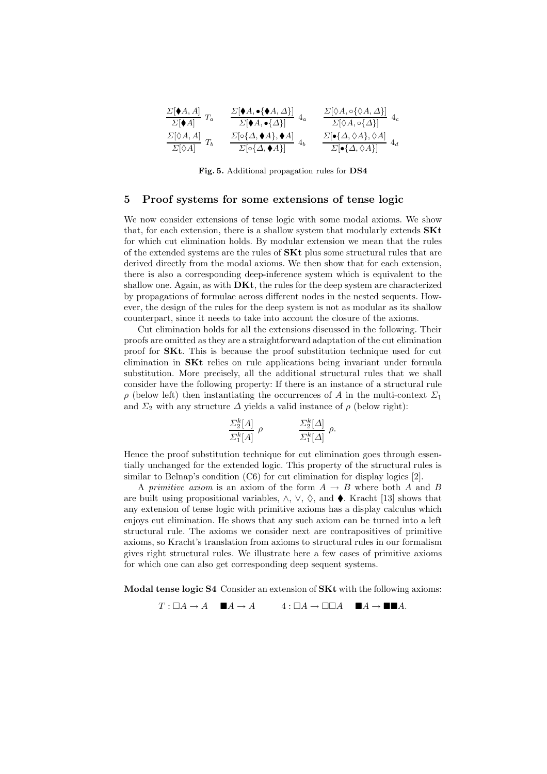$$
\frac{\Sigma[\blacklozenge A, A]}{\Sigma[\blacklozenge A]} T_a \qquad \frac{\Sigma[\blacklozenge A, \blacklozenge \{\blacklozenge A, \Delta\}]}{\Sigma[\blacklozenge A, \blacklozenge \{\Delta, \blacklozenge \{\Delta\}\}]} 4_a \qquad \frac{\Sigma[\lozenge A, \lozenge \{\Diamond A, \Delta\}]}{\Sigma[\lozenge A, \lozenge \{\Delta\}]} 4_c
$$
\n
$$
\frac{\Sigma[\lozenge A, A]}{\Sigma[\lozenge A, \blacklozenge A], \blacklozenge A]} T_b \qquad \frac{\Sigma[\lozenge \{\Delta, \blacklozenge A\}, \blacklozenge A]}{\Sigma[\lozenge \{\Delta, \blacklozenge A\}]} 4_b \qquad \frac{\Sigma[\blacklozenge \{\Delta, \lozenge A\}, \lozenge A]}{\Sigma[\blacklozenge \{\Delta, \lozenge A\}]} 4_d
$$

Fig. 5. Additional propagation rules for DS4

## 5 Proof systems for some extensions of tense logic

We now consider extensions of tense logic with some modal axioms. We show that, for each extension, there is a shallow system that modularly extends SKt for which cut elimination holds. By modular extension we mean that the rules of the extended systems are the rules of SKt plus some structural rules that are derived directly from the modal axioms. We then show that for each extension, there is also a corresponding deep-inference system which is equivalent to the shallow one. Again, as with  $\mathbf{D} \mathbf{K} t$ , the rules for the deep system are characterized by propagations of formulae across different nodes in the nested sequents. However, the design of the rules for the deep system is not as modular as its shallow counterpart, since it needs to take into account the closure of the axioms.

Cut elimination holds for all the extensions discussed in the following. Their proofs are omitted as they are a straightforward adaptation of the cut elimination proof for SKt. This is because the proof substitution technique used for cut elimination in SKt relies on rule applications being invariant under formula substitution. More precisely, all the additional structural rules that we shall consider have the following property: If there is an instance of a structural rule  $\rho$  (below left) then instantiating the occurrences of A in the multi-context  $\Sigma_1$ and  $\Sigma_2$  with any structure  $\Delta$  yields a valid instance of  $\rho$  (below right):

$$
\frac{\Sigma_2^k[A]}{\Sigma_1^k[A]} \rho \qquad \qquad \frac{\Sigma_2^k[\Delta]}{\Sigma_1^k[\Delta]} \rho.
$$

Hence the proof substitution technique for cut elimination goes through essentially unchanged for the extended logic. This property of the structural rules is similar to Belnap's condition (C6) for cut elimination for display logics [2].

A primitive axiom is an axiom of the form  $A \rightarrow B$  where both A and B are built using propositional variables,  $\wedge$ ,  $\vee$ ,  $\Diamond$ , and  $\blacklozenge$ . Kracht [13] shows that any extension of tense logic with primitive axioms has a display calculus which enjoys cut elimination. He shows that any such axiom can be turned into a left structural rule. The axioms we consider next are contrapositives of primitive axioms, so Kracht's translation from axioms to structural rules in our formalism gives right structural rules. We illustrate here a few cases of primitive axioms for which one can also get corresponding deep sequent systems.

Modal tense logic S4 Consider an extension of SKt with the following axioms:

 $T : \Box A \to A \qquad \blacksquare A \to A \qquad \quad 4 : \Box A \to \Box \Box A \qquad \blacksquare A \to \blacksquare \blacksquare A.$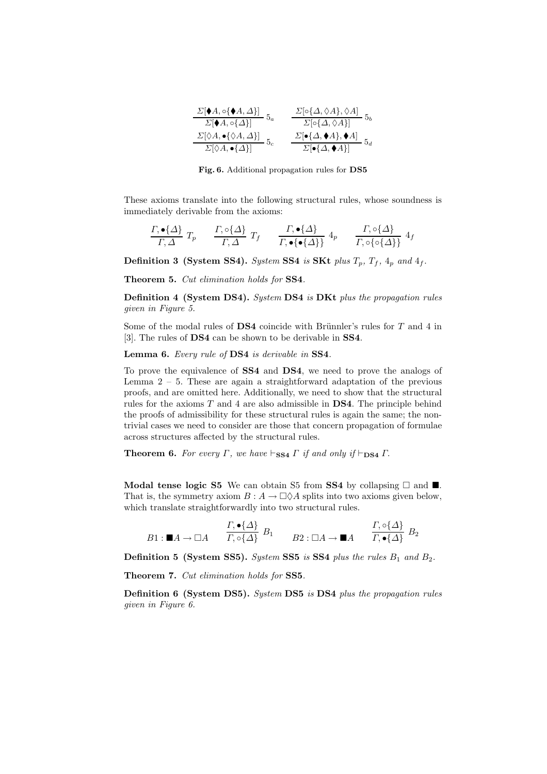| $\frac{\Sigma[\blacklozenge A, \circ\blacklozenge A, \vartriangle\}]}{\Sigma[\blacklozenge A, \circ\{\vartriangle\}]}\,;$ | $\frac{\Sigma[\circ {\Delta, \Diamond A}, \Diamond A]}{\Sigma[\circ {\Delta, \Diamond A}]}$ 5 <sub>b</sub> |
|---------------------------------------------------------------------------------------------------------------------------|------------------------------------------------------------------------------------------------------------|
|                                                                                                                           | $\Sigma[\bullet \{\Delta, \blacklozenge A\}, \blacklozenge A]$                                             |
| $\frac{\Sigma[\Diamond A,\bullet\{\Diamond A,\Delta\}]}{\Sigma[\Diamond A,\bullet\{\Delta\}]}$                            | $\Sigma[\bullet \{\Delta, \blacklozenge A\}]$                                                              |

Fig. 6. Additional propagation rules for DS5

These axioms translate into the following structural rules, whose soundness is immediately derivable from the axioms:

$$
\frac{\Gamma, \bullet \{\Delta\}}{\Gamma, \Delta} T_p \qquad \frac{\Gamma, \circ \{\Delta\}}{\Gamma, \Delta} T_f \qquad \frac{\Gamma, \bullet \{\Delta\}}{\Gamma, \bullet \{\bullet \{\Delta\}\}} 4_p \qquad \frac{\Gamma, \circ \{\Delta\}}{\Gamma, \circ \{\circ \{\Delta\}\}} 4_f
$$

Definition 3 (System SS4). System SS4 is SKt plus  $T_p$ ,  $T_f$ ,  $4_p$  and  $4_f$ .

Theorem 5. Cut elimination holds for SS4.

Definition 4 (System DS4). System DS4 is DKt plus the propagation rules given in Figure 5.

Some of the modal rules of DS4 coincide with Brünnler's rules for  $T$  and  $4$  in [3]. The rules of DS4 can be shown to be derivable in SS4.

Lemma 6. Every rule of DS4 is derivable in SS4.

To prove the equivalence of SS4 and DS4, we need to prove the analogs of Lemma  $2 - 5$ . These are again a straightforward adaptation of the previous proofs, and are omitted here. Additionally, we need to show that the structural rules for the axioms  $T$  and 4 are also admissible in  $DS4$ . The principle behind the proofs of admissibility for these structural rules is again the same; the nontrivial cases we need to consider are those that concern propagation of formulae across structures affected by the structural rules.

**Theorem 6.** For every  $\Gamma$ , we have  $\vdash_{\textbf{SS4}} \Gamma$  if and only if  $\vdash_{\textbf{DS4}} \Gamma$ .

Modal tense logic S5 We can obtain S5 from SS4 by collapsing  $\Box$  and  $\blacksquare$ . That is, the symmetry axiom  $B: A \to \Box \Diamond A$  splits into two axioms given below, which translate straightforwardly into two structural rules.

$$
B1: \blacksquare A \to \square A \qquad \frac{\Gamma, \bullet \{\Delta\}}{\Gamma, \circ \{\Delta\}} B_1 \qquad B2: \square A \to \blacksquare A \qquad \frac{\Gamma, \circ \{\Delta\}}{\Gamma, \bullet \{\Delta\}} B_2
$$

**Definition 5 (System SS5).** System SS5 is SS4 plus the rules  $B_1$  and  $B_2$ .

Theorem 7. Cut elimination holds for SS5.

Definition 6 (System DS5). System DS5 is DS4 plus the propagation rules given in Figure 6.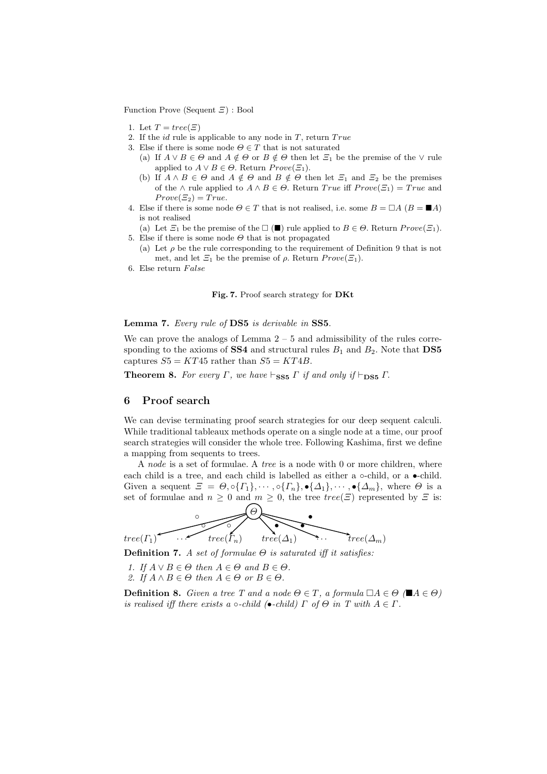Function Prove (Sequent  $\Xi$ ) : Bool

- 1. Let  $T = tree(\Xi)$
- 2. If the *id* rule is applicable to any node in  $T$ , return  $True$
- 3. Else if there is some node  $\Theta \in T$  that is not saturated
	- (a) If  $A \vee B \in \Theta$  and  $A \notin \Theta$  or  $B \notin \Theta$  then let  $\Xi_1$  be the premise of the  $\vee$  rule applied to  $A \vee B \in \Theta$ . Return  $Prove(\Xi_1)$ .
	- (b) If  $A \wedge B \in \Theta$  and  $A \notin \Theta$  and  $B \notin \Theta$  then let  $\Xi_1$  and  $\Xi_2$  be the premises of the  $\land$  rule applied to  $A \land B \in \Theta$ . Return True iff  $Prove(\Xi_1) = True$  and  $Prove(\Xi_2) = True.$
- 4. Else if there is some node  $\Theta \in T$  that is not realised, i.e. some  $B = \Box A$  ( $B = \blacksquare A$ ) is not realised
- (a) Let  $\Xi_1$  be the premise of the  $\Box$  ( $\blacksquare$ ) rule applied to  $B \in \Theta$ . Return  $Prove(\Xi_1)$ . 5. Else if there is some node  $\Theta$  that is not propagated
	- (a) Let  $\rho$  be the rule corresponding to the requirement of Definition 9 that is not met, and let  $\Xi_1$  be the premise of  $\rho$ . Return  $Prove(\Xi_1)$ .
- 6. Else return  $False$

#### Fig. 7. Proof search strategy for DKt

#### Lemma 7. Every rule of DS5 is derivable in SS5.

We can prove the analogs of Lemma  $2 - 5$  and admissibility of the rules corresponding to the axioms of SS4 and structural rules  $B_1$  and  $B_2$ . Note that DS5 captures  $S5 = KT45$  rather than  $S5 = KT4B$ .

**Theorem 8.** For every  $\Gamma$ , we have  $\vdash_{\textbf{SS5}} \Gamma$  if and only if  $\vdash_{\textbf{DS5}} \Gamma$ .

### 6 Proof search

We can devise terminating proof search strategies for our deep sequent calculi. While traditional tableaux methods operate on a single node at a time, our proof search strategies will consider the whole tree. Following Kashima, first we define a mapping from sequents to trees.

A node is a set of formulae. A tree is a node with 0 or more children, where each child is a tree, and each child is labelled as either a ∘-child, or a •-child. Given a sequent  $\mathcal{Z} = \Theta, \circ \{\Gamma_1\}, \cdots, \circ \{\Gamma_n\}, \bullet \{\Delta_1\}, \cdots, \bullet \{\Delta_m\},\$  where  $\Theta$  is a set of formulae and  $n \geq 0$  and  $m \geq 0$ , the tree  $tree(\Xi)$  represented by  $\Xi$  is:



Definition 7. A set of formulae  $\Theta$  is saturated iff it satisfies:

1. If  $A \vee B \in \Theta$  then  $A \in \Theta$  and  $B \in \Theta$ . 2. If  $A \wedge B \in \Theta$  then  $A \in \Theta$  or  $B \in \Theta$ .

**Definition 8.** Given a tree T and a node  $\Theta \in T$ , a formula  $\Box A \in \Theta$  ( $\blacksquare A \in \Theta$ ) is realised iff there exists a  $\circ$ -child ( $\bullet$ -child)  $\Gamma$  of  $\Theta$  in  $T$  with  $A \in \Gamma$ .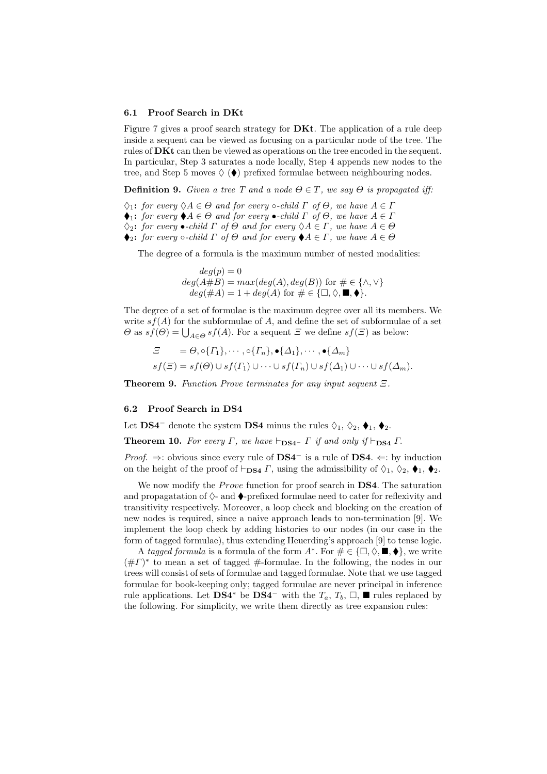#### 6.1 Proof Search in DKt

Figure 7 gives a proof search strategy for **DKt**. The application of a rule deep inside a sequent can be viewed as focusing on a particular node of the tree. The rules of **DKt** can then be viewed as operations on the tree encoded in the sequent. In particular, Step 3 saturates a node locally, Step 4 appends new nodes to the tree, and Step 5 moves  $\Diamond$  ( $\blacklozenge$ ) prefixed formulae between neighbouring nodes.

**Definition 9.** Given a tree T and a node  $\Theta \in T$ , we say  $\Theta$  is propagated iff:

 $\Diamond_1$ : for every  $\Diamond A \in \Theta$  and for every  $\circ$ -child  $\Gamma$  of  $\Theta$ , we have  $A \in \Gamma$ 

 $\blacklozenge_1$ : for every  $\blacklozenge A \in \Theta$  and for every  $\blacktriangleright$ -child  $\Gamma$  of  $\Theta$ , we have  $A \in \Gamma$ 

 $\Diamond_2$ : for every •-child  $\Gamma$  of  $\Theta$  and for every  $\Diamond A \in \Gamma$ , we have  $A \in \Theta$ 

 $\blacklozenge_2$ : for every  $\circ$ -child  $\Gamma$  of  $\Theta$  and for every  $\blacklozenge A \in \Gamma$ , we have  $A \in \Theta$ 

The degree of a formula is the maximum number of nested modalities:

 $deg(p) = 0$  $deg(A#B) = max(deg(A), deg(B))$  for  $\# \in {\wedge, \vee}$  $deg(\#A) = 1 + deg(A)$  for  $\# \in {\Box, \Diamond, \blacksquare, \blacklozenge}.$ 

The degree of a set of formulae is the maximum degree over all its members. We write  $s f(A)$  for the subformulae of A, and define the set of subformulae of a set  $\Theta$  as  $sf(\Theta) = \bigcup_{A \in \Theta} sf(A)$ . For a sequent  $\Xi$  we define  $sf(\Xi)$  as below:

$$
\begin{aligned}\n\Xi &= \Theta, \circ \{\Gamma_1\}, \cdots, \circ \{\Gamma_n\}, \bullet \{\Delta_1\}, \cdots, \bullet \{\Delta_m\} \\
s f(\Xi) &= s f(\Theta) \cup s f(\Gamma_1) \cup \cdots \cup s f(\Gamma_n) \cup s f(\Delta_1) \cup \cdots \cup s f(\Delta_m).\n\end{aligned}
$$

**Theorem 9.** Function Prove terminates for any input sequent  $\Xi$ .

#### 6.2 Proof Search in DS4

Let **DS4<sup>-</sup>** denote the system **DS4** minus the rules  $\Diamond_1, \Diamond_2, \blacklozenge_1, \blacklozenge_2$ .

**Theorem 10.** For every  $\Gamma$ , we have  $\vdash_{DS4} \Gamma$  if and only if  $\vdash_{DS4} \Gamma$ .

*Proof.*  $\Rightarrow$ : obvious since every rule of DS4<sup>-</sup> is a rule of DS4.  $\Leftarrow$ : by induction on the height of the proof of  $\vdash_{DS4} \Gamma$ , using the admissibility of  $\Diamond_1$ ,  $\Diamond_2$ ,  $\blacklozenge_1$ ,  $\blacklozenge_2$ .

We now modify the *Prove* function for proof search in  $DS4$ . The saturation and propagatation of  $\Diamond$ - and  $\blacklozenge$ -prefixed formulae need to cater for reflexivity and transitivity respectively. Moreover, a loop check and blocking on the creation of new nodes is required, since a naive approach leads to non-termination [9]. We implement the loop check by adding histories to our nodes (in our case in the form of tagged formulae), thus extending Heuerding's approach [9] to tense logic.

A tagged formula is a formula of the form  $A^*$ . For  $\# \in \{\Box, \Diamond, \blacksquare, \blacklozenge\}$ , we write  $(\# \Gamma)^*$  to mean a set of tagged  $\#$ -formulae. In the following, the nodes in our trees will consist of sets of formulae and tagged formulae. Note that we use tagged formulae for book-keeping only; tagged formulae are never principal in inference rule applications. Let DS4<sup>∗</sup> be DS4<sup>−</sup> with the  $T_a, T_b, \Box$ ,  $\blacksquare$  rules replaced by the following. For simplicity, we write them directly as tree expansion rules: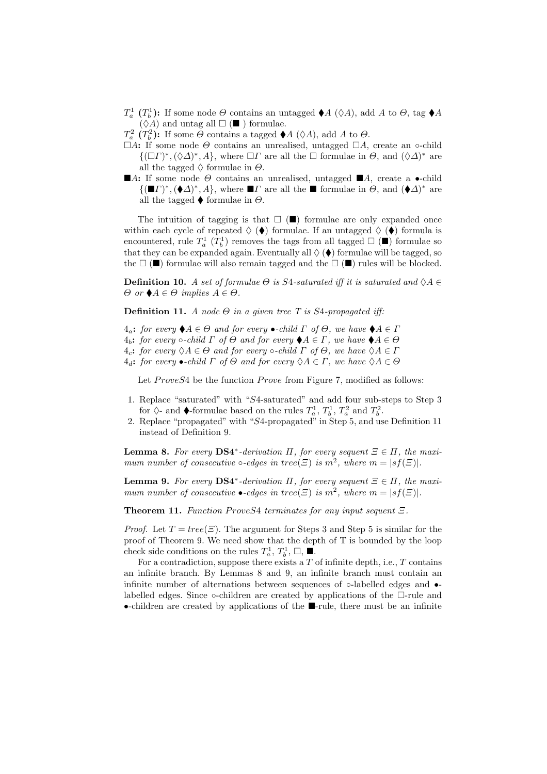- $T_a^1$   $(T_b^1)$ <sup>1</sup><sub>b</sub>): If some node  $\Theta$  contains an untagged  $\blacklozenge A$  ( $\diamond A$ ), add A to  $\Theta$ , tag  $\blacklozenge A$  $(\Diamond A)$  and untag all  $\square$  ( $\square$ ) formulae.
- $T_a^2$   $(T_b^2$ <sup>2</sup><sub>b</sub>): If some  $\Theta$  contains a tagged  $\blacklozenge A$  ( $\Diamond A$ ), add A to  $\Theta$ .
- $\Box A$ : If some node  $\Theta$  contains an unrealised, untagged  $\Box A$ , create an ∘-child  $\{(\Box \Gamma)^*, (\Diamond \Delta)^*, A\}$ , where  $\Box \Gamma$  are all the  $\Box$  formulae in  $\Theta$ , and  $(\Diamond \Delta)^*$  are all the tagged  $\Diamond$  formulae in  $\Theta$ .
- **A:** If some node  $\Theta$  contains an unrealised, untagged **A**, create a •-child  ${(\blacksquare \Gamma)^*, (\blacklozenge \Delta)^*, A}$ , where  $\blacksquare \Gamma$  are all the  $\blacksquare$  formulae in  $\Theta$ , and  ${(\blacklozenge \Delta)^*}$  are all the tagged  $\blacklozenge$  formulae in  $\Theta$ .

The intuition of tagging is that  $\Box$  ( $\blacksquare$ ) formulae are only expanded once within each cycle of repeated  $\Diamond$  ( $\blacklozenge$ ) formulae. If an untagged  $\Diamond$  ( $\blacklozenge$ ) formula is encountered, rule  $T_a^1$   $(T_b^1)$  $b<sub>b</sub><sup>1</sup>$ ) removes the tags from all tagged  $\Box$  ( $\blacksquare$ ) formulae so that they can be expanded again. Eventually all  $\Diamond$  ( $\blacklozenge$ ) formulae will be tagged, so the  $\Box$  ( $\Box$ ) formulae will also remain tagged and the  $\Box$  ( $\Box$ ) rules will be blocked.

**Definition 10.** A set of formulae  $\Theta$  is S4-saturated iff it is saturated and  $\Diamond A \in$  $\Theta$  or  $\blacklozenge A \in \Theta$  implies  $A \in \Theta$ .

**Definition 11.** A node  $\Theta$  in a given tree T is S4-propagated iff:

 $4_a$ : for every  $\blacklozenge A \in \Theta$  and for every  $\blacktriangleright$ -child  $\Gamma$  of  $\Theta$ , we have  $\blacklozenge A \in \Gamma$  $4_b$ : for every  $\circ$ -child  $\Gamma$  of  $\Theta$  and for every  $\blacklozenge A \in \Gamma$ , we have  $\blacklozenge A \in \Theta$ 4<sub>c</sub>: for every  $\Diamond A \in \Theta$  and for every  $\circ$ -child  $\Gamma$  of  $\Theta$ , we have  $\Diamond A \in \Gamma$  $4_d$ : for every •-child  $\Gamma$  of  $\Theta$  and for every  $\Diamond A \in \Gamma$ , we have  $\Diamond A \in \Theta$ 

Let  $ProveS4$  be the function  $Prove$  from Figure 7, modified as follows:

- 1. Replace "saturated" with "S4-saturated" and add four sub-steps to Step 3 for  $\diamond$ - and  $\blacklozenge$ -formulae based on the rules  $T_a^1, T_b^1$  $T_b^1$ ,  $T_a^2$  and  $T_b^2$ '2<br>b ·
- 2. Replace "propagated" with "S4-propagated" in Step 5, and use Definition 11 instead of Definition 9.

**Lemma 8.** For every  $DS4^*$ -derivation  $\Pi$ , for every sequent  $\Xi \in \Pi$ , the maximum number of consecutive  $\circ$ -edges in tree( $\Xi$ ) is  $m^2$ , where  $m = |sf(\Xi)|$ .

**Lemma 9.** For every  $DS4^*$ -derivation  $\Pi$ , for every sequent  $\Xi \in \Pi$ , the maximum number of consecutive  $\bullet$ -edges in tree( $\Xi$ ) is  $m^2$ , where  $m = |sf(\Xi)|$ .

**Theorem 11.** Function ProveS4 terminates for any input sequent  $\Xi$ .

*Proof.* Let  $T = tree(\Xi)$ . The argument for Steps 3 and Step 5 is similar for the proof of Theorem 9. We need show that the depth of T is bounded by the loop check side conditions on the rules  $T_a^1$ ,  $T_b^1$  $b^1_b, \Box, \blacksquare$ .

For a contradiction, suppose there exists a  $T$  of infinite depth, i.e.,  $T$  contains an infinite branch. By Lemmas 8 and 9, an infinite branch must contain an infinite number of alternations between sequences of ◦-labelled edges and • labelled edges. Since  $\circ$ -children are created by applications of the  $\Box$ -rule and •-children are created by applications of the  $\blacksquare$ -rule, there must be an infinite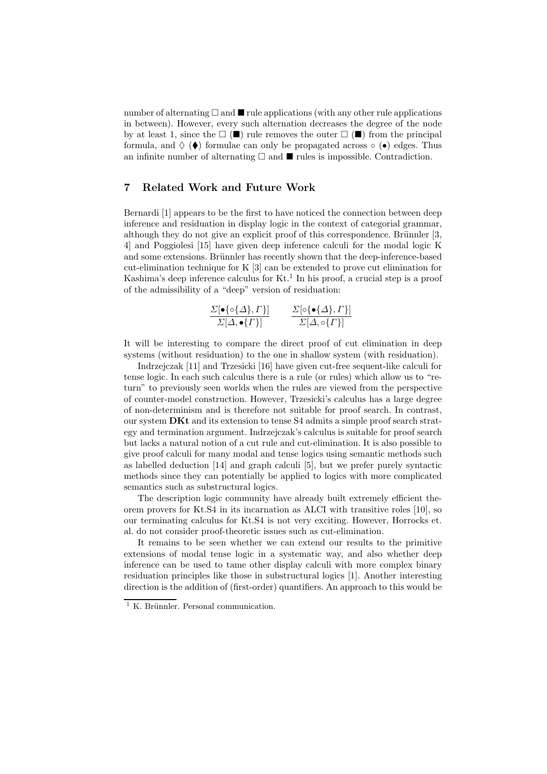number of alternating  $\Box$  and  $\blacksquare$  rule applications (with any other rule applications in between). However, every such alternation decreases the degree of the node by at least 1, since the  $\Box$  ( $\square$ ) rule removes the outer  $\Box$  ( $\square$ ) from the principal formula, and  $\Diamond$  ( $\blacklozenge$ ) formulae can only be propagated across  $\circ$  ( $\bullet$ ) edges. Thus an infinite number of alternating  $\Box$  and  $\blacksquare$  rules is impossible. Contradiction.

### 7 Related Work and Future Work

Bernardi [1] appears to be the first to have noticed the connection between deep inference and residuation in display logic in the context of categorial grammar, although they do not give an explicit proof of this correspondence. Brünnler  $[3,$ 4] and Poggiolesi [15] have given deep inference calculi for the modal logic K and some extensions. Brünnler has recently shown that the deep-inference-based cut-elimination technique for K [3] can be extended to prove cut elimination for Kashima's deep inference calculus for  $Kt$ .<sup>1</sup> In his proof, a crucial step is a proof of the admissibility of a "deep" version of residuation:

$$
\frac{\Sigma[\bullet\{\circ\{\Delta\},\Gamma\}]}{\Sigma[\Delta,\bullet\{\Gamma\}]}\qquad \frac{\Sigma[\circ\{\bullet\{\Delta\},\Gamma\}]}{\Sigma[\Delta,\circ\{\Gamma\}]}
$$

It will be interesting to compare the direct proof of cut elimination in deep systems (without residuation) to the one in shallow system (with residuation).

Indrzejczak [11] and Trzesicki [16] have given cut-free sequent-like calculi for tense logic. In each such calculus there is a rule (or rules) which allow us to "return" to previously seen worlds when the rules are viewed from the perspective of counter-model construction. However, Trzesicki's calculus has a large degree of non-determinism and is therefore not suitable for proof search. In contrast, our system DKt and its extension to tense S4 admits a simple proof search strategy and termination argument. Indrzejczak's calculus is suitable for proof search but lacks a natural notion of a cut rule and cut-elimination. It is also possible to give proof calculi for many modal and tense logics using semantic methods such as labelled deduction [14] and graph calculi [5], but we prefer purely syntactic methods since they can potentially be applied to logics with more complicated semantics such as substructural logics.

The description logic community have already built extremely efficient theorem provers for Kt.S4 in its incarnation as ALCI with transitive roles [10], so our terminating calculus for Kt.S4 is not very exciting. However, Horrocks et. al. do not consider proof-theoretic issues such as cut-elimination.

It remains to be seen whether we can extend our results to the primitive extensions of modal tense logic in a systematic way, and also whether deep inference can be used to tame other display calculi with more complex binary residuation principles like those in substructural logics [1]. Another interesting direction is the addition of (first-order) quantifiers. An approach to this would be

 $1$  K. Brünnler. Personal communication.